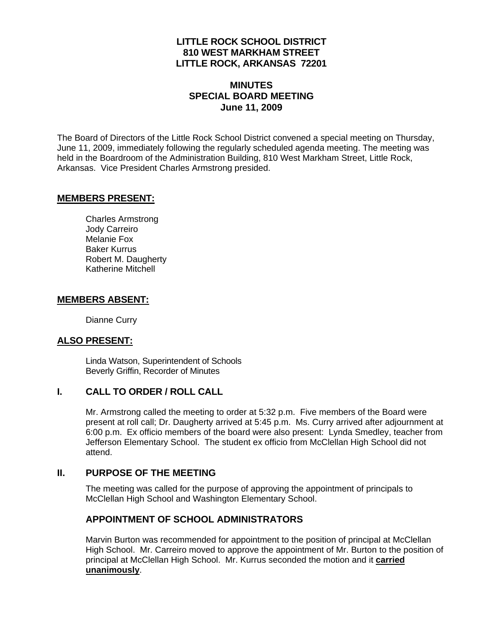## **LITTLE ROCK SCHOOL DISTRICT 810 WEST MARKHAM STREET LITTLE ROCK, ARKANSAS 72201**

# **MINUTES SPECIAL BOARD MEETING June 11, 2009**

The Board of Directors of the Little Rock School District convened a special meeting on Thursday, June 11, 2009, immediately following the regularly scheduled agenda meeting. The meeting was held in the Boardroom of the Administration Building, 810 West Markham Street, Little Rock, Arkansas. Vice President Charles Armstrong presided.

#### **MEMBERS PRESENT:**

Charles Armstrong Jody Carreiro Melanie Fox Baker Kurrus Robert M. Daugherty Katherine Mitchell

#### **MEMBERS ABSENT:**

Dianne Curry

## **ALSO PRESENT:**

 Linda Watson, Superintendent of Schools Beverly Griffin, Recorder of Minutes

## **I. CALL TO ORDER / ROLL CALL**

Mr. Armstrong called the meeting to order at 5:32 p.m. Five members of the Board were present at roll call; Dr. Daugherty arrived at 5:45 p.m. Ms. Curry arrived after adjournment at 6:00 p.m. Ex officio members of the board were also present: Lynda Smedley, teacher from Jefferson Elementary School. The student ex officio from McClellan High School did not attend.

## **II. PURPOSE OF THE MEETING**

The meeting was called for the purpose of approving the appointment of principals to McClellan High School and Washington Elementary School.

## **APPOINTMENT OF SCHOOL ADMINISTRATORS**

Marvin Burton was recommended for appointment to the position of principal at McClellan High School. Mr. Carreiro moved to approve the appointment of Mr. Burton to the position of principal at McClellan High School. Mr. Kurrus seconded the motion and it **carried unanimously**.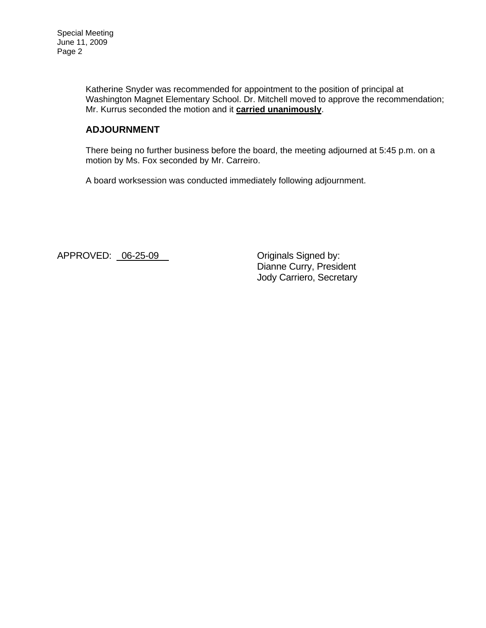Katherine Snyder was recommended for appointment to the position of principal at Washington Magnet Elementary School. Dr. Mitchell moved to approve the recommendation; Mr. Kurrus seconded the motion and it **carried unanimously**.

# **ADJOURNMENT**

There being no further business before the board, the meeting adjourned at 5:45 p.m. on a motion by Ms. Fox seconded by Mr. Carreiro.

A board worksession was conducted immediately following adjournment.

APPROVED: 06-25-09\_ Criginals Signed by:

 Dianne Curry, President Jody Carriero, Secretary